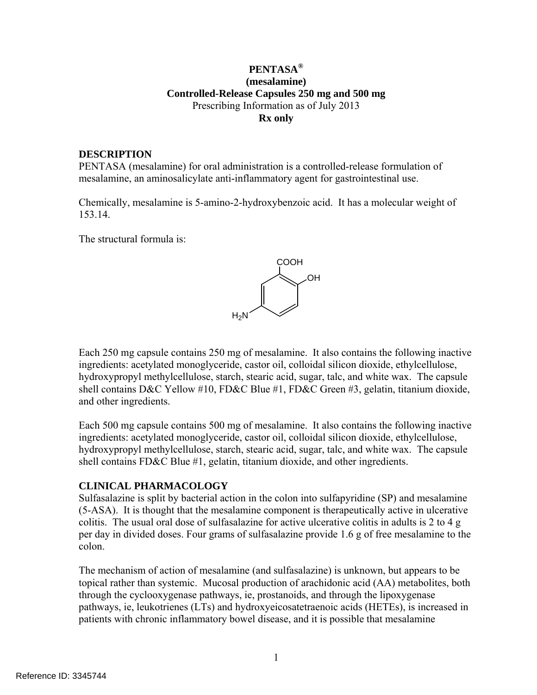#### **PENTASA® (mesalamine) Controlled-Release Capsules 250 mg and 500 mg**  Prescribing Information as of July 2013 **Rx only**

#### **DESCRIPTION**

PENTASA (mesalamine) for oral administration is a controlled-release formulation of mesalamine, an aminosalicylate anti-inflammatory agent for gastrointestinal use.

Chemically, mesalamine is 5-amino-2-hydroxybenzoic acid. It has a molecular weight of 153.14.

The structural formula is:



Each 250 mg capsule contains 250 mg of mesalamine. It also contains the following inactive ingredients: acetylated monoglyceride, castor oil, colloidal silicon dioxide, ethylcellulose, hydroxypropyl methylcellulose, starch, stearic acid, sugar, talc, and white wax. The capsule shell contains D&C Yellow #10, FD&C Blue #1, FD&C Green #3, gelatin, titanium dioxide, and other ingredients.

Each 500 mg capsule contains 500 mg of mesalamine. It also contains the following inactive ingredients: acetylated monoglyceride, castor oil, colloidal silicon dioxide, ethylcellulose, hydroxypropyl methylcellulose, starch, stearic acid, sugar, talc, and white wax. The capsule shell contains FD&C Blue #1, gelatin, titanium dioxide, and other ingredients.

#### **CLINICAL PHARMACOLOGY**

Sulfasalazine is split by bacterial action in the colon into sulfapyridine (SP) and mesalamine (5-ASA). It is thought that the mesalamine component is therapeutically active in ulcerative colitis. The usual oral dose of sulfasalazine for active ulcerative colitis in adults is 2 to 4 g per day in divided doses. Four grams of sulfasalazine provide 1.6 g of free mesalamine to the colon.

The mechanism of action of mesalamine (and sulfasalazine) is unknown, but appears to be topical rather than systemic. Mucosal production of arachidonic acid (AA) metabolites, both through the cyclooxygenase pathways, ie, prostanoids, and through the lipoxygenase pathways, ie, leukotrienes (LTs) and hydroxyeicosatetraenoic acids (HETEs), is increased in patients with chronic inflammatory bowel disease, and it is possible that mesalamine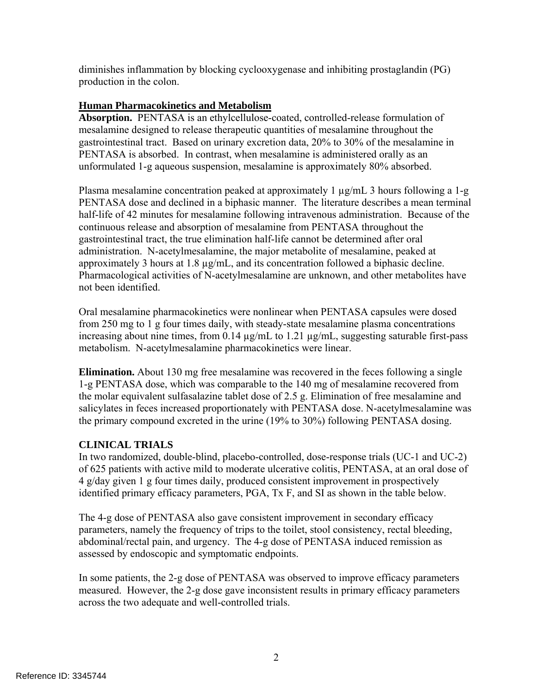diminishes inflammation by blocking cyclooxygenase and inhibiting prostaglandin (PG) production in the colon.

### **Human Pharmacokinetics and Metabolism**

**Absorption.** PENTASA is an ethylcellulose-coated, controlled-release formulation of mesalamine designed to release therapeutic quantities of mesalamine throughout the gastrointestinal tract. Based on urinary excretion data, 20% to 30% of the mesalamine in PENTASA is absorbed. In contrast, when mesalamine is administered orally as an unformulated 1-g aqueous suspension, mesalamine is approximately 80% absorbed.

Plasma mesalamine concentration peaked at approximately 1  $\mu$ g/mL 3 hours following a 1-g PENTASA dose and declined in a biphasic manner. The literature describes a mean terminal half-life of 42 minutes for mesalamine following intravenous administration. Because of the continuous release and absorption of mesalamine from PENTASA throughout the gastrointestinal tract, the true elimination half-life cannot be determined after oral administration. N-acetylmesalamine, the major metabolite of mesalamine, peaked at approximately 3 hours at 1.8 µg/mL, and its concentration followed a biphasic decline. Pharmacological activities of N-acetylmesalamine are unknown, and other metabolites have not been identified.

Oral mesalamine pharmacokinetics were nonlinear when PENTASA capsules were dosed from 250 mg to 1 g four times daily, with steady-state mesalamine plasma concentrations increasing about nine times, from 0.14 µg/mL to 1.21 µg/mL, suggesting saturable first-pass metabolism. N-acetylmesalamine pharmacokinetics were linear.

**Elimination.** About 130 mg free mesalamine was recovered in the feces following a single 1-g PENTASA dose, which was comparable to the 140 mg of mesalamine recovered from the molar equivalent sulfasalazine tablet dose of 2.5 g. Elimination of free mesalamine and salicylates in feces increased proportionately with PENTASA dose. N-acetylmesalamine was the primary compound excreted in the urine (19% to 30%) following PENTASA dosing.

# **CLINICAL TRIALS**

In two randomized, double-blind, placebo-controlled, dose-response trials (UC-1 and UC-2) of 625 patients with active mild to moderate ulcerative colitis, PENTASA, at an oral dose of 4 g/day given 1 g four times daily, produced consistent improvement in prospectively identified primary efficacy parameters, PGA, Tx F, and SI as shown in the table below.

The 4-g dose of PENTASA also gave consistent improvement in secondary efficacy parameters, namely the frequency of trips to the toilet, stool consistency, rectal bleeding, abdominal/rectal pain, and urgency. The 4-g dose of PENTASA induced remission as assessed by endoscopic and symptomatic endpoints.

In some patients, the 2-g dose of PENTASA was observed to improve efficacy parameters measured. However, the 2-g dose gave inconsistent results in primary efficacy parameters across the two adequate and well-controlled trials.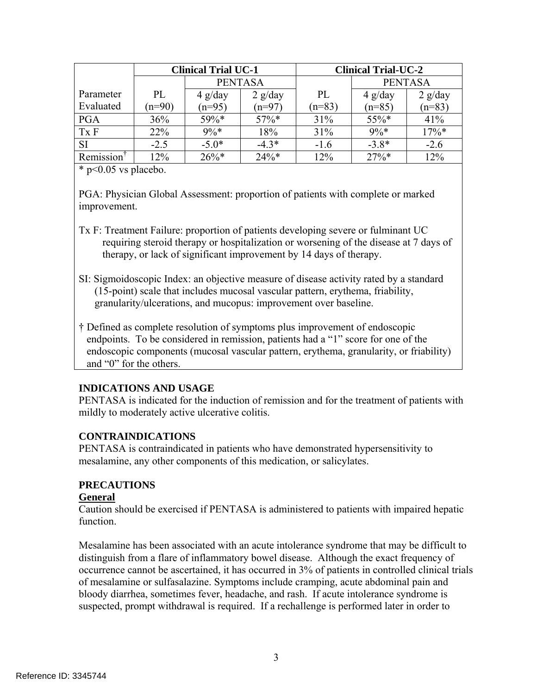|                        | <b>Clinical Trial UC-1</b> |                |           | <b>Clinical Trial-UC-2</b> |                |           |
|------------------------|----------------------------|----------------|-----------|----------------------------|----------------|-----------|
|                        |                            | <b>PENTASA</b> |           |                            | <b>PENTASA</b> |           |
| Parameter              | PL                         | $4$ g/day      | $2$ g/day | PL                         | $4$ g/day      | $2$ g/day |
| Evaluated              | $(n=90)$                   | $(n=95)$       | $(n=97)$  | $(n=83)$                   | $(n=85)$       | $(n=83)$  |
| PGA                    | 36%                        | 59%*           | $57\%*$   | 31%                        | 55%*           | 41%       |
| Tx F                   | 22%                        | $9\% *$        | 18%       | 31%                        | $9\%*$         | 17%*      |
| <b>SI</b>              | $-2.5$                     | $-5.0*$        | $-4.3*$   | $-1.6$                     | $-3.8*$        | $-2.6$    |
| Remission <sup>1</sup> | 12%                        | $26\%*$        | $24\%*$   | 12%                        | $27%$ *        | 12%       |

\* p<0.05 vs placebo.

PGA: Physician Global Assessment: proportion of patients with complete or marked improvement.

- Tx F: Treatment Failure: proportion of patients developing severe or fulminant UC requiring steroid therapy or hospitalization or worsening of the disease at 7 days of therapy, or lack of significant improvement by 14 days of therapy.
- SI: Sigmoidoscopic Index: an objective measure of disease activity rated by a standard (15-point) scale that includes mucosal vascular pattern, erythema, friability, granularity/ulcerations, and mucopus: improvement over baseline.
- † Defined as complete resolution of symptoms plus improvement of endoscopic endpoints. To be considered in remission, patients had a "1" score for one of the endoscopic components (mucosal vascular pattern, erythema, granularity, or friability) and "0" for the others.

# **INDICATIONS AND USAGE**

PENTASA is indicated for the induction of remission and for the treatment of patients with mildly to moderately active ulcerative colitis.

# **CONTRAINDICATIONS**

PENTASA is contraindicated in patients who have demonstrated hypersensitivity to mesalamine, any other components of this medication, or salicylates.

# **PRECAUTIONS**

#### **General**

Caution should be exercised if PENTASA is administered to patients with impaired hepatic function.

Mesalamine has been associated with an acute intolerance syndrome that may be difficult to distinguish from a flare of inflammatory bowel disease. Although the exact frequency of occurrence cannot be ascertained, it has occurred in 3% of patients in controlled clinical trials of mesalamine or sulfasalazine. Symptoms include cramping, acute abdominal pain and bloody diarrhea, sometimes fever, headache, and rash. If acute intolerance syndrome is suspected, prompt withdrawal is required. If a rechallenge is performed later in order to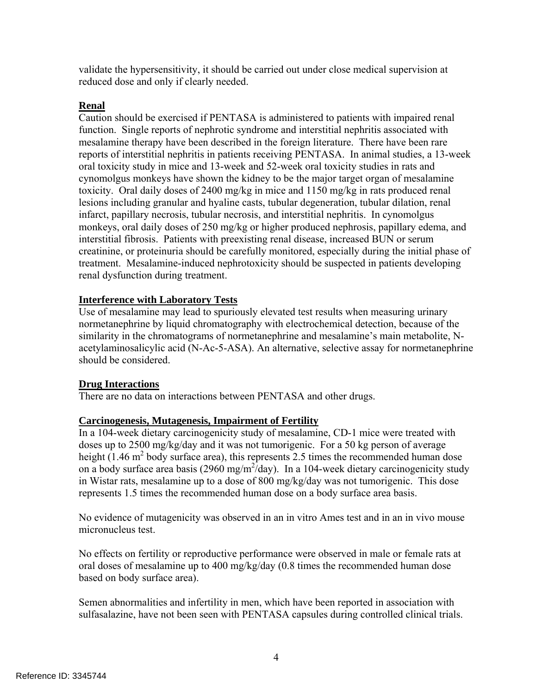validate the hypersensitivity, it should be carried out under close medical supervision at reduced dose and only if clearly needed.

### **Renal**

Caution should be exercised if PENTASA is administered to patients with impaired renal function. Single reports of nephrotic syndrome and interstitial nephritis associated with mesalamine therapy have been described in the foreign literature. There have been rare reports of interstitial nephritis in patients receiving PENTASA. In animal studies, a 13-week oral toxicity study in mice and 13-week and 52-week oral toxicity studies in rats and cynomolgus monkeys have shown the kidney to be the major target organ of mesalamine toxicity. Oral daily doses of 2400 mg/kg in mice and 1150 mg/kg in rats produced renal lesions including granular and hyaline casts, tubular degeneration, tubular dilation, renal infarct, papillary necrosis, tubular necrosis, and interstitial nephritis. In cynomolgus monkeys, oral daily doses of 250 mg/kg or higher produced nephrosis, papillary edema, and interstitial fibrosis. Patients with preexisting renal disease, increased BUN or serum creatinine, or proteinuria should be carefully monitored, especially during the initial phase of treatment. Mesalamine-induced nephrotoxicity should be suspected in patients developing renal dysfunction during treatment.

# **Interference with Laboratory Tests**

Use of mesalamine may lead to spuriously elevated test results when measuring urinary normetanephrine by liquid chromatography with electrochemical detection, because of the similarity in the chromatograms of normetanephrine and mesalamine's main metabolite, Nacetylaminosalicylic acid (N-Ac-5-ASA). An alternative, selective assay for normetanephrine should be considered.

#### **Drug Interactions**

There are no data on interactions between PENTASA and other drugs.

#### **Carcinogenesis, Mutagenesis, Impairment of Fertility**

In a 104-week dietary carcinogenicity study of mesalamine, CD-1 mice were treated with doses up to 2500 mg/kg/day and it was not tumorigenic. For a 50 kg person of average height  $(1.46 \text{ m}^2 \text{ body surface area})$ , this represents 2.5 times the recommended human dose on a body surface area basis (2960 mg/m<sup>2</sup>/day). In a 104-week dietary carcinogenicity study in Wistar rats, mesalamine up to a dose of 800 mg/kg/day was not tumorigenic. This dose represents 1.5 times the recommended human dose on a body surface area basis.

No evidence of mutagenicity was observed in an in vitro Ames test and in an in vivo mouse micronucleus test.

No effects on fertility or reproductive performance were observed in male or female rats at oral doses of mesalamine up to 400 mg/kg/day (0.8 times the recommended human dose based on body surface area).

Semen abnormalities and infertility in men, which have been reported in association with sulfasalazine, have not been seen with PENTASA capsules during controlled clinical trials.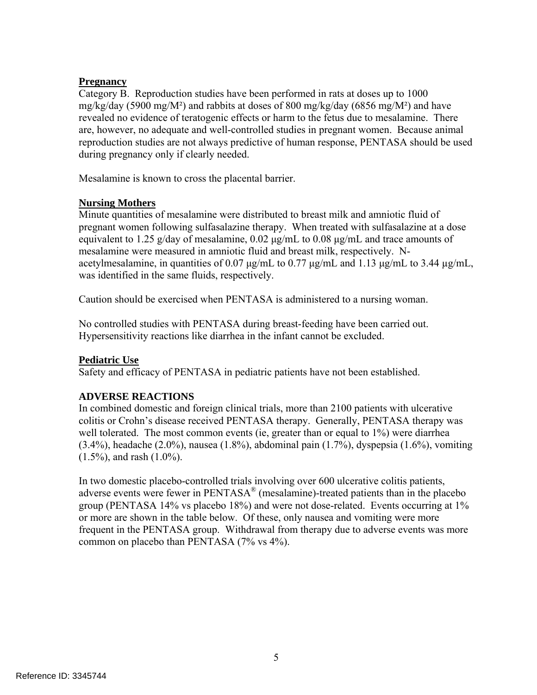#### **Pregnancy**

Category B. Reproduction studies have been performed in rats at doses up to 1000 mg/kg/day (5900 mg/M<sup>2</sup>) and rabbits at doses of 800 mg/kg/day (6856 mg/M<sup>2</sup>) and have revealed no evidence of teratogenic effects or harm to the fetus due to mesalamine. There are, however, no adequate and well-controlled studies in pregnant women. Because animal reproduction studies are not always predictive of human response, PENTASA should be used during pregnancy only if clearly needed.

Mesalamine is known to cross the placental barrier.

#### **Nursing Mothers**

Minute quantities of mesalamine were distributed to breast milk and amniotic fluid of pregnant women following sulfasalazine therapy. When treated with sulfasalazine at a dose equivalent to 1.25 g/day of mesalamine, 0.02 μg/mL to 0.08 μg/mL and trace amounts of mesalamine were measured in amniotic fluid and breast milk, respectively. Nacetylmesalamine, in quantities of 0.07  $\mu$ g/mL to 0.77  $\mu$ g/mL and 1.13  $\mu$ g/mL to 3.44  $\mu$ g/mL, was identified in the same fluids, respectively.

Caution should be exercised when PENTASA is administered to a nursing woman.

No controlled studies with PENTASA during breast-feeding have been carried out. Hypersensitivity reactions like diarrhea in the infant cannot be excluded.

# **Pediatric Use**

Safety and efficacy of PENTASA in pediatric patients have not been established.

# **ADVERSE REACTIONS**

In combined domestic and foreign clinical trials, more than 2100 patients with ulcerative colitis or Crohn's disease received PENTASA therapy. Generally, PENTASA therapy was well tolerated. The most common events (ie, greater than or equal to 1%) were diarrhea (3.4%), headache (2.0%), nausea (1.8%), abdominal pain (1.7%), dyspepsia (1.6%), vomiting  $(1.5\%)$ , and rash  $(1.0\%)$ .

In two domestic placebo-controlled trials involving over 600 ulcerative colitis patients, adverse events were fewer in PENTASA® (mesalamine)-treated patients than in the placebo group (PENTASA 14% vs placebo 18%) and were not dose-related. Events occurring at 1% or more are shown in the table below. Of these, only nausea and vomiting were more frequent in the PENTASA group. Withdrawal from therapy due to adverse events was more common on placebo than PENTASA (7% vs 4%).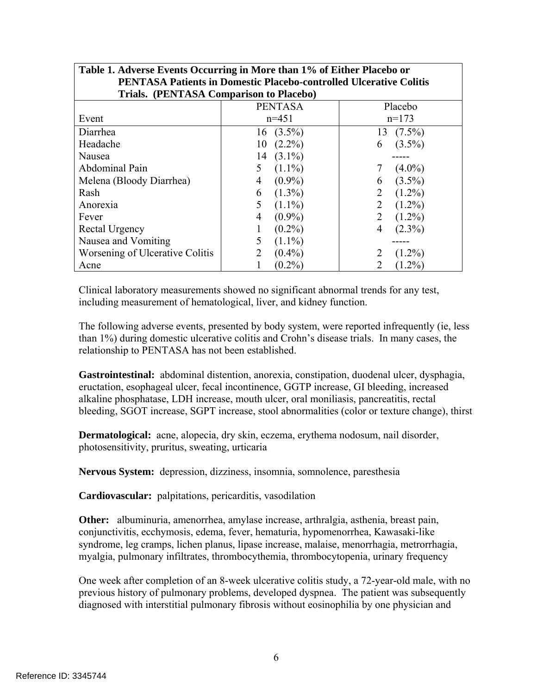| <b>PENTASA Patients in Domestic Placebo-controlled Ulcerative Colitis</b> |                 |                |  |  |  |  |  |
|---------------------------------------------------------------------------|-----------------|----------------|--|--|--|--|--|
| Trials. (PENTASA Comparison to Placebo)                                   |                 |                |  |  |  |  |  |
|                                                                           | <b>PENTASA</b>  | Placebo        |  |  |  |  |  |
| Event                                                                     | $n=451$         | $n=173$        |  |  |  |  |  |
| Diarrhea                                                                  | $16(3.5\%)$     | $13(7.5\%)$    |  |  |  |  |  |
| Headache                                                                  | $(2.2\%)$<br>10 | $(3.5\%)$<br>6 |  |  |  |  |  |
| Nausea                                                                    | $(3.1\%)$<br>14 |                |  |  |  |  |  |
| Abdominal Pain                                                            | 5<br>$(1.1\%)$  | $(4.0\%)$      |  |  |  |  |  |
| Melena (Bloody Diarrhea)                                                  | $(0.9\%)$<br>4  | $(3.5\%)$<br>6 |  |  |  |  |  |
| Rash                                                                      | $(1.3\%)$<br>6  | 2<br>$(1.2\%)$ |  |  |  |  |  |
| Anorexia                                                                  | 5<br>$(1.1\%)$  | 2<br>$(1.2\%)$ |  |  |  |  |  |
| Fever                                                                     | $(0.9\%)$<br>4  | 2<br>$(1.2\%)$ |  |  |  |  |  |
| Rectal Urgency                                                            | $(0.2\%)$       | $(2.3\%)$<br>4 |  |  |  |  |  |
| Nausea and Vomiting                                                       | 5<br>$(1.1\%)$  |                |  |  |  |  |  |
| Worsening of Ulcerative Colitis                                           | $(0.4\%)$<br>2  | $(1.2\%)$      |  |  |  |  |  |
| Acne                                                                      | $(0.2\%)$       | $(1.2\%)$      |  |  |  |  |  |

**Table 1. Adverse Events Occurring in More than 1% of Either Placebo or** 

Clinical laboratory measurements showed no significant abnormal trends for any test, including measurement of hematological, liver, and kidney function.

The following adverse events, presented by body system, were reported infrequently (ie, less than 1%) during domestic ulcerative colitis and Crohn's disease trials. In many cases, the relationship to PENTASA has not been established.

**Gastrointestinal:** abdominal distention, anorexia, constipation, duodenal ulcer, dysphagia, eructation, esophageal ulcer, fecal incontinence, GGTP increase, GI bleeding, increased alkaline phosphatase, LDH increase, mouth ulcer, oral moniliasis, pancreatitis, rectal bleeding, SGOT increase, SGPT increase, stool abnormalities (color or texture change), thirst

**Dermatological:** acne, alopecia, dry skin, eczema, erythema nodosum, nail disorder, photosensitivity, pruritus, sweating, urticaria

**Nervous System:** depression, dizziness, insomnia, somnolence, paresthesia

**Cardiovascular:** palpitations, pericarditis, vasodilation

**Other:** albuminuria, amenorrhea, amylase increase, arthralgia, asthenia, breast pain, conjunctivitis, ecchymosis, edema, fever, hematuria, hypomenorrhea, Kawasaki-like syndrome, leg cramps, lichen planus, lipase increase, malaise, menorrhagia, metrorrhagia, myalgia, pulmonary infiltrates, thrombocythemia, thrombocytopenia, urinary frequency

One week after completion of an 8-week ulcerative colitis study, a 72-year-old male, with no previous history of pulmonary problems, developed dyspnea. The patient was subsequently diagnosed with interstitial pulmonary fibrosis without eosinophilia by one physician and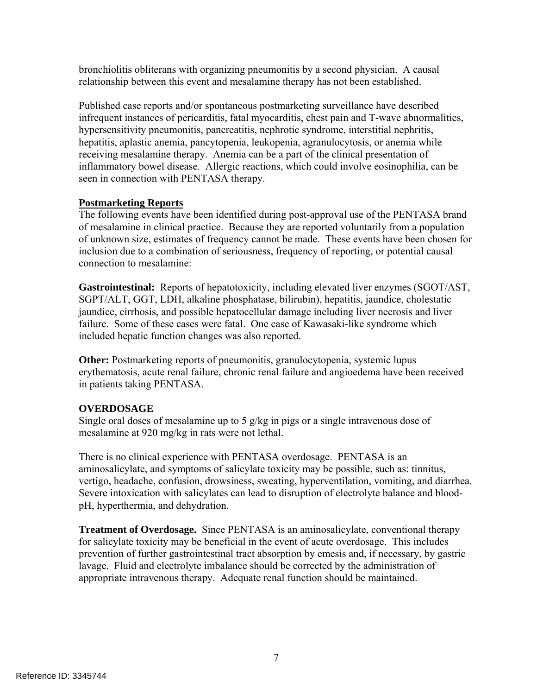bronchiolitis obliterans with organizing pneumonitis by a second physician. A causal relationship between this event and mesalamine therapy has not been established.

Published case reports and/or spontaneous postmarketing surveillance have described infrequent instances of pericarditis, fatal myocarditis, chest pain and T-wave abnormalities, hypersensitivity pneumonitis, pancreatitis, nephrotic syndrome, interstitial nephritis, hepatitis, aplastic anemia, pancytopenia, leukopenia, agranulocytosis, or anemia while receiving mesalamine therapy. Anemia can be a part of the clinical presentation of inflammatory bowel disease. Allergic reactions, which could involve eosinophilia, can be seen in connection with PENTASA therapy.

### **Postmarketing Reports**

The following events have been identified during post-approval use of the PENTASA brand of mesalamine in clinical practice. Because they are reported voluntarily from a population of unknown size, estimates of frequency cannot be made. These events have been chosen for inclusion due to a combination of seriousness, frequency of reporting, or potential causal connection to mesalamine:

**Gastrointestinal:** Reports of hepatotoxicity, including elevated liver enzymes (SGOT/AST, SGPT/ALT, GGT, LDH, alkaline phosphatase, bilirubin), hepatitis, jaundice, cholestatic jaundice, cirrhosis, and possible hepatocellular damage including liver necrosis and liver failure. Some of these cases were fatal. One case of Kawasaki-like syndrome which included hepatic function changes was also reported.

**Other:** Postmarketing reports of pneumonitis, granulocytopenia, systemic lupus erythematosis, acute renal failure, chronic renal failure and angioedema have been received in patients taking PENTASA.

# **OVERDOSAGE**

Single oral doses of mesalamine up to 5 g/kg in pigs or a single intravenous dose of mesalamine at 920 mg/kg in rats were not lethal.

There is no clinical experience with PENTASA overdosage. PENTASA is an aminosalicylate, and symptoms of salicylate toxicity may be possible, such as: tinnitus, vertigo, headache, confusion, drowsiness, sweating, hyperventilation, vomiting, and diarrhea. Severe intoxication with salicylates can lead to disruption of electrolyte balance and bloodpH, hyperthermia, and dehydration.

**Treatment of Overdosage.** Since PENTASA is an aminosalicylate, conventional therapy for salicylate toxicity may be beneficial in the event of acute overdosage. This includes prevention of further gastrointestinal tract absorption by emesis and, if necessary, by gastric lavage. Fluid and electrolyte imbalance should be corrected by the administration of appropriate intravenous therapy. Adequate renal function should be maintained.